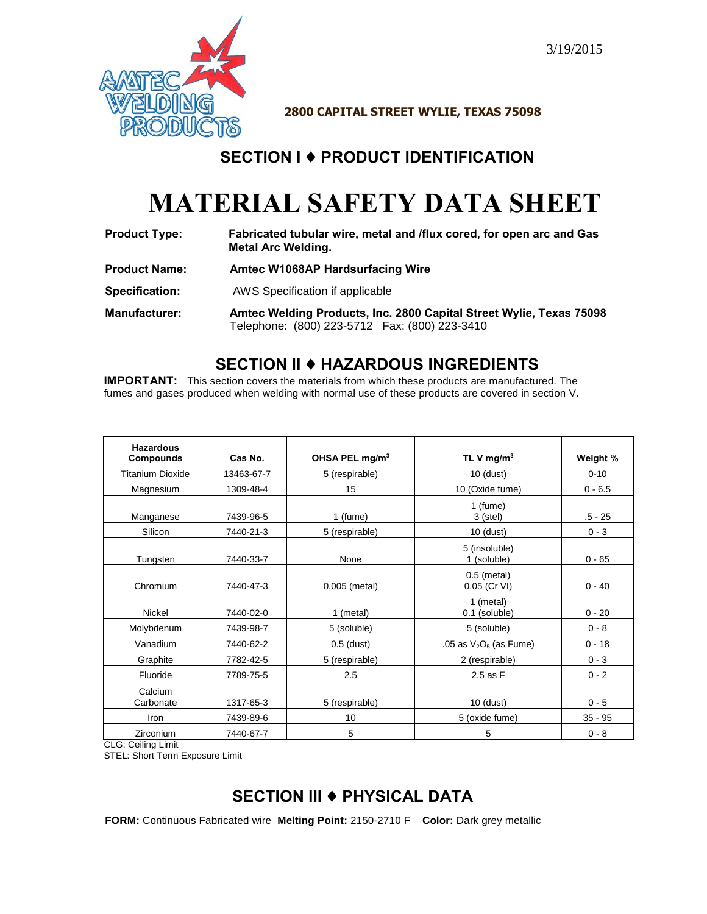

**2800 CAPITAL STREET WYLIE, TEXAS 75098** 

# **SECTION I** ♦ **PRODUCT IDENTIFICATION**

# **MATERIAL SAFETY DATA SHEET**

| <b>Product Type:</b> | Fabricated tubular wire, metal and <i>flux</i> cored, for open arc and Gas |
|----------------------|----------------------------------------------------------------------------|
|                      | Metal Arc Welding.                                                         |

- **Product Name: Amtec W1068AP Hardsurfacing Wire**
- **Specification:** AWS Specification if applicable
- **Manufacturer: Amtec Welding Products, Inc. 2800 Capital Street Wylie, Texas 75098** Telephone: (800) 223-5712 Fax: (800) 223-3410

## **SECTION II** ♦ **HAZARDOUS INGREDIENTS**

**IMPORTANT:** This section covers the materials from which these products are manufactured. The fumes and gases produced when welding with normal use of these products are covered in section V.

| <b>Hazardous</b><br>Compounds | Cas No.    | OHSA PEL mg/m <sup>3</sup> | TL V mg/m <sup>3</sup>        | Weight %  |
|-------------------------------|------------|----------------------------|-------------------------------|-----------|
| <b>Titanium Dioxide</b>       | 13463-67-7 | 5 (respirable)             | $10$ (dust)                   | $0 - 10$  |
| Magnesium                     | 1309-48-4  | 15                         | 10 (Oxide fume)               | $0 - 6.5$ |
| Manganese                     | 7439-96-5  | 1 (fume)                   | 1 (fume)<br>$3$ (stel)        | $.5 - 25$ |
| Silicon                       | 7440-21-3  | 5 (respirable)             | $10$ (dust)                   | $0 - 3$   |
| Tungsten                      | 7440-33-7  | None                       | 5 (insoluble)<br>1 (soluble)  | $0 - 65$  |
| Chromium                      | 7440-47-3  | 0.005 (metal)              | $0.5$ (metal)<br>0.05 (Cr VI) | $0 - 40$  |
| Nickel                        | 7440-02-0  | 1 (metal)                  | 1 (metal)<br>0.1 (soluble)    | $0 - 20$  |
| Molybdenum                    | 7439-98-7  | 5 (soluble)                | 5 (soluble)                   | $0 - 8$   |
| Vanadium                      | 7440-62-2  | $0.5$ (dust)               | .05 as $V2O5$ (as Fume)       | $0 - 18$  |
| Graphite                      | 7782-42-5  | 5 (respirable)             | 2 (respirable)                | $0 - 3$   |
| Fluoride                      | 7789-75-5  | 2.5                        | 2.5 as F                      | $0 - 2$   |
| Calcium<br>Carbonate          | 1317-65-3  | 5 (respirable)             | $10$ (dust)                   | $0 - 5$   |
| Iron                          | 7439-89-6  | 10                         | 5 (oxide fume)                | $35 - 95$ |
| Zirconium                     | 7440-67-7  | 5                          | 5                             | $0 - 8$   |

CLG: Ceiling Limit

STEL: Short Term Exposure Limit

# **SECTION III** ♦ **PHYSICAL DATA**

**FORM:** Continuous Fabricated wire **Melting Point:** 2150-2710 F **Color:** Dark grey metallic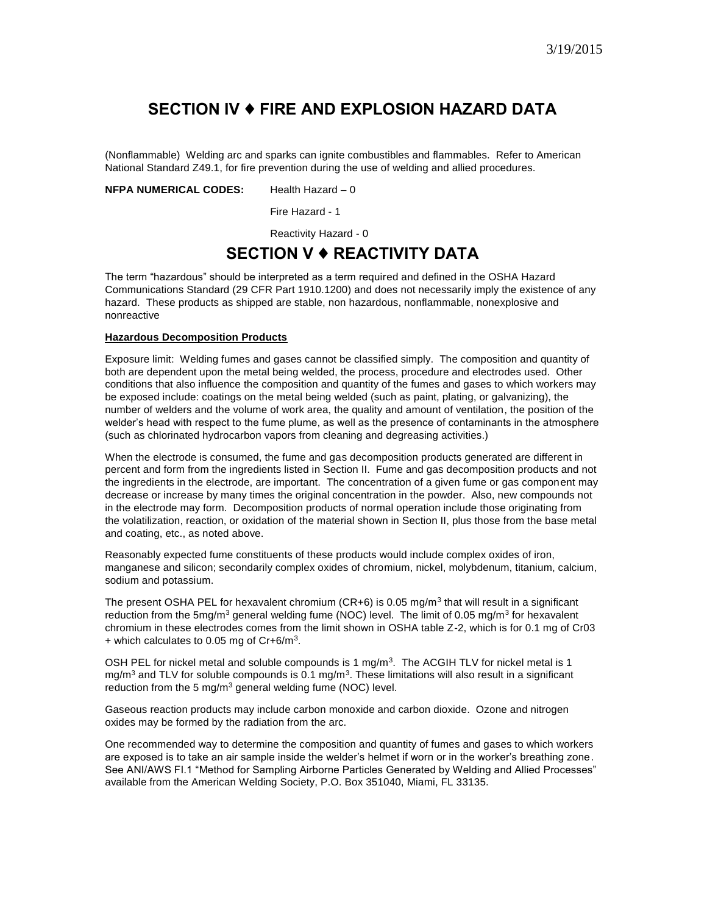### **SECTION IV** ♦ **FIRE AND EXPLOSION HAZARD DATA**

(Nonflammable) Welding arc and sparks can ignite combustibles and flammables. Refer to American National Standard Z49.1, for fire prevention during the use of welding and allied procedures.

**NFPA NUMERICAL CODES:** Health Hazard – 0

Fire Hazard - 1

Reactivity Hazard - 0

#### **SECTION V** ♦ **REACTIVITY DATA**

The term "hazardous" should be interpreted as a term required and defined in the OSHA Hazard Communications Standard (29 CFR Part 1910.1200) and does not necessarily imply the existence of any hazard. These products as shipped are stable, non hazardous, nonflammable, nonexplosive and nonreactive

#### **Hazardous Decomposition Products**

Exposure limit: Welding fumes and gases cannot be classified simply. The composition and quantity of both are dependent upon the metal being welded, the process, procedure and electrodes used. Other conditions that also influence the composition and quantity of the fumes and gases to which workers may be exposed include: coatings on the metal being welded (such as paint, plating, or galvanizing), the number of welders and the volume of work area, the quality and amount of ventilation, the position of the welder's head with respect to the fume plume, as well as the presence of contaminants in the atmosphere (such as chlorinated hydrocarbon vapors from cleaning and degreasing activities.)

When the electrode is consumed, the fume and gas decomposition products generated are different in percent and form from the ingredients listed in Section II. Fume and gas decomposition products and not the ingredients in the electrode, are important. The concentration of a given fume or gas component may decrease or increase by many times the original concentration in the powder. Also, new compounds not in the electrode may form. Decomposition products of normal operation include those originating from the volatilization, reaction, or oxidation of the material shown in Section II, plus those from the base metal and coating, etc., as noted above.

Reasonably expected fume constituents of these products would include complex oxides of iron, manganese and silicon; secondarily complex oxides of chromium, nickel, molybdenum, titanium, calcium, sodium and potassium.

The present OSHA PEL for hexavalent chromium (CR+6) is 0.05 mg/m<sup>3</sup> that will result in a significant reduction from the 5mg/m<sup>3</sup> general welding fume (NOC) level. The limit of 0.05 mg/m<sup>3</sup> for hexavalent chromium in these electrodes comes from the limit shown in OSHA table Z-2, which is for 0.1 mg of Cr03  $+$  which calculates to 0.05 mg of Cr+6/m<sup>3</sup>.

OSH PEL for nickel metal and soluble compounds is 1 mg/m<sup>3</sup>. The ACGIH TLV for nickel metal is 1 mg/m<sup>3</sup> and TLV for soluble compounds is 0.1 mg/m<sup>3</sup>. These limitations will also result in a significant reduction from the 5 mg/m<sup>3</sup> general welding fume (NOC) level.

Gaseous reaction products may include carbon monoxide and carbon dioxide. Ozone and nitrogen oxides may be formed by the radiation from the arc.

One recommended way to determine the composition and quantity of fumes and gases to which workers are exposed is to take an air sample inside the welder's helmet if worn or in the worker's breathing zone. See ANI/AWS FI.1 "Method for Sampling Airborne Particles Generated by Welding and Allied Processes" available from the American Welding Society, P.O. Box 351040, Miami, FL 33135.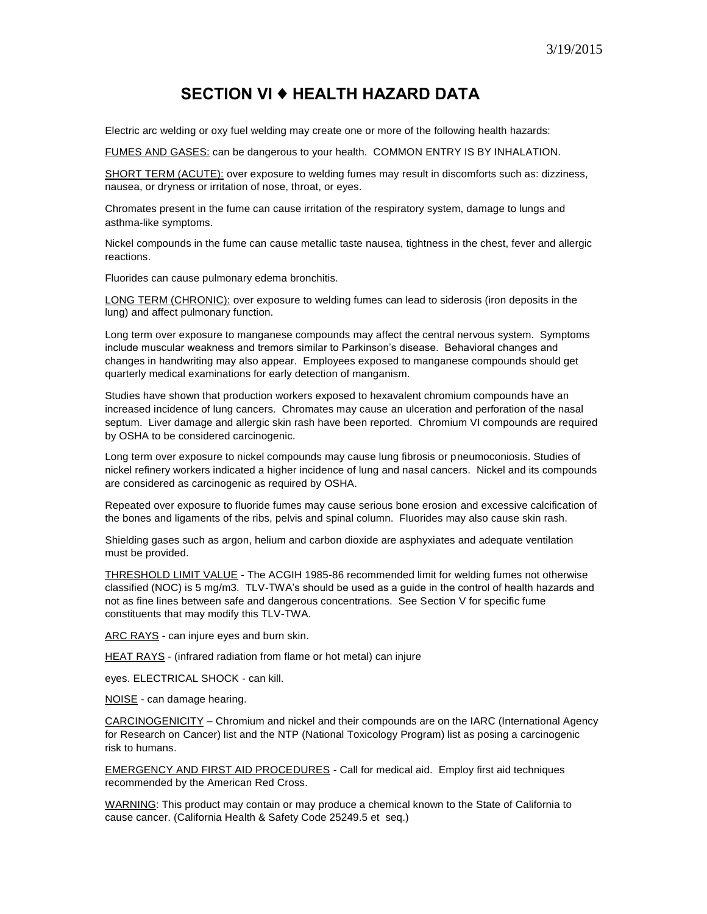#### **SECTION VI** ♦ **HEALTH HAZARD DATA**

Electric arc welding or oxy fuel welding may create one or more of the following health hazards:

FUMES AND GASES: can be dangerous to your health. COMMON ENTRY IS BY INHALATION.

SHORT TERM (ACUTE): over exposure to welding fumes may result in discomforts such as: dizziness, nausea, or dryness or irritation of nose, throat, or eyes.

Chromates present in the fume can cause irritation of the respiratory system, damage to lungs and asthma-like symptoms.

Nickel compounds in the fume can cause metallic taste nausea, tightness in the chest, fever and allergic reactions.

Fluorides can cause pulmonary edema bronchitis.

LONG TERM (CHRONIC): over exposure to welding fumes can lead to siderosis (iron deposits in the lung) and affect pulmonary function.

Long term over exposure to manganese compounds may affect the central nervous system. Symptoms include muscular weakness and tremors similar to Parkinson's disease. Behavioral changes and changes in handwriting may also appear. Employees exposed to manganese compounds should get quarterly medical examinations for early detection of manganism.

Studies have shown that production workers exposed to hexavalent chromium compounds have an increased incidence of lung cancers. Chromates may cause an ulceration and perforation of the nasal septum. Liver damage and allergic skin rash have been reported. Chromium VI compounds are required by OSHA to be considered carcinogenic.

Long term over exposure to nickel compounds may cause lung fibrosis or pneumoconiosis. Studies of nickel refinery workers indicated a higher incidence of lung and nasal cancers. Nickel and its compounds are considered as carcinogenic as required by OSHA.

Repeated over exposure to fluoride fumes may cause serious bone erosion and excessive calcification of the bones and ligaments of the ribs, pelvis and spinal column. Fluorides may also cause skin rash.

Shielding gases such as argon, helium and carbon dioxide are asphyxiates and adequate ventilation must be provided.

THRESHOLD LIMIT VALUE - The ACGIH 1985-86 recommended limit for welding fumes not otherwise classified (NOC) is 5 mg/m3. TLV-TWA's should be used as a guide in the control of health hazards and not as fine lines between safe and dangerous concentrations. See Section V for specific fume constituents that may modify this TLV-TWA.

ARC RAYS - can injure eyes and burn skin.

HEAT RAYS - (infrared radiation from flame or hot metal) can injure

eyes. ELECTRICAL SHOCK - can kill.

NOISE - can damage hearing.

CARCINOGENICITY – Chromium and nickel and their compounds are on the IARC (International Agency for Research on Cancer) list and the NTP (National Toxicology Program) list as posing a carcinogenic risk to humans.

EMERGENCY AND FIRST AID PROCEDURES - Call for medical aid. Employ first aid techniques recommended by the American Red Cross.

WARNING: This product may contain or may produce a chemical known to the State of California to cause cancer. (California Health & Safety Code 25249.5 et seq.)